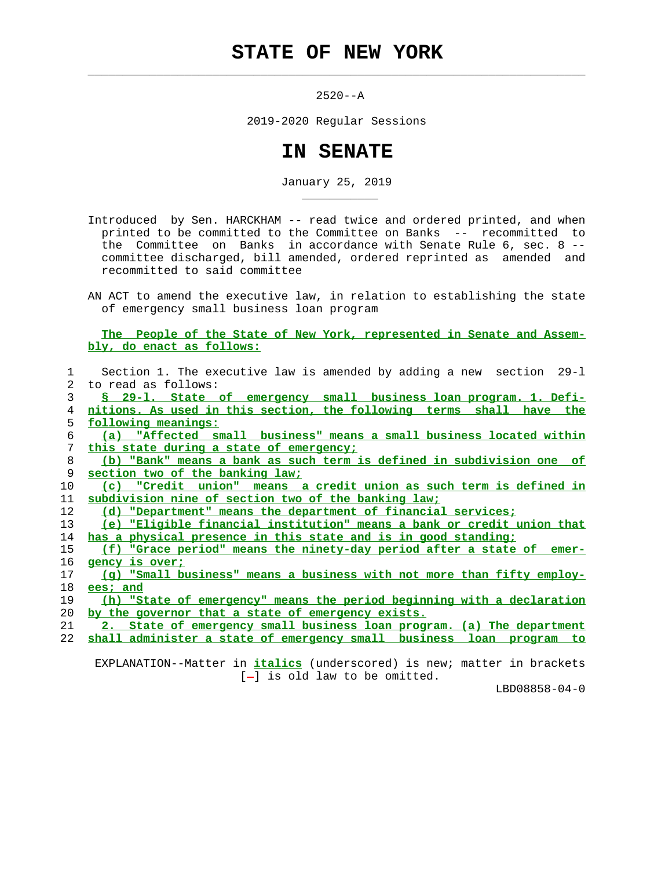## **STATE OF NEW YORK**

 $\mathcal{L}_\text{max} = \frac{1}{2} \sum_{i=1}^{n} \frac{1}{2} \sum_{i=1}^{n} \frac{1}{2} \sum_{i=1}^{n} \frac{1}{2} \sum_{i=1}^{n} \frac{1}{2} \sum_{i=1}^{n} \frac{1}{2} \sum_{i=1}^{n} \frac{1}{2} \sum_{i=1}^{n} \frac{1}{2} \sum_{i=1}^{n} \frac{1}{2} \sum_{i=1}^{n} \frac{1}{2} \sum_{i=1}^{n} \frac{1}{2} \sum_{i=1}^{n} \frac{1}{2} \sum_{i=1}^{n} \frac{1$ 

\_\_\_\_\_\_\_\_\_\_\_

2520--A

2019-2020 Regular Sessions

## **IN SENATE**

January 25, 2019

 Introduced by Sen. HARCKHAM -- read twice and ordered printed, and when printed to be committed to the Committee on Banks -- recommitted to the Committee on Banks in accordance with Senate Rule 6, sec. 8 - committee discharged, bill amended, ordered reprinted as amended and recommitted to said committee

 AN ACT to amend the executive law, in relation to establishing the state of emergency small business loan program

 **The People of the State of New York, represented in Senate and Assem bly, do enact as follows:**

|             | Section 1. The executive law is amended by adding a new section 29-1         |
|-------------|------------------------------------------------------------------------------|
| $2^{\circ}$ | to read as follows:                                                          |
| 3           | § 29-1. State of emergency small business loan program. 1. Defi-             |
| 4           | nitions. As used in this section, the following terms shall have the         |
| 5           | following meanings:                                                          |
| 6           | (a) "Affected small business" means a small business located within          |
| 7           | this state during a state of emergency;                                      |
| 8           | (b) "Bank" means a bank as such term is defined in subdivision one of        |
| 9           | section two of the banking law;                                              |
| 10          | (c) "Credit union" means a credit union as such term is defined in           |
| 11          | subdivision nine of section two of the banking law;                          |
| 12          | (d) "Department" means the department of financial services;                 |
| 13          | (e) "Eligible financial institution" means a bank or credit union that       |
| 14          | has a physical presence in this state and is in good standing;               |
| 15          | <u>(f) "Grace period" means the ninety-day period after a state of emer-</u> |
| 16          | gency is over;                                                               |
| 17          | (q) "Small business" means a business with not more than fifty employ-       |
| 18          | ees; and                                                                     |
| 19          | (h) "State of emergency" means the period beginning with a declaration       |
| 20          | by the governor that a state of emergency exists.                            |
| 21          | 2. State of emergency small business loan program. (a) The department        |
| 22          | shall administer a state of emergency small business loan program to         |
|             |                                                                              |

 EXPLANATION--Matter in **italics** (underscored) is new; matter in brackets  $[-]$  is old law to be omitted.

LBD08858-04-0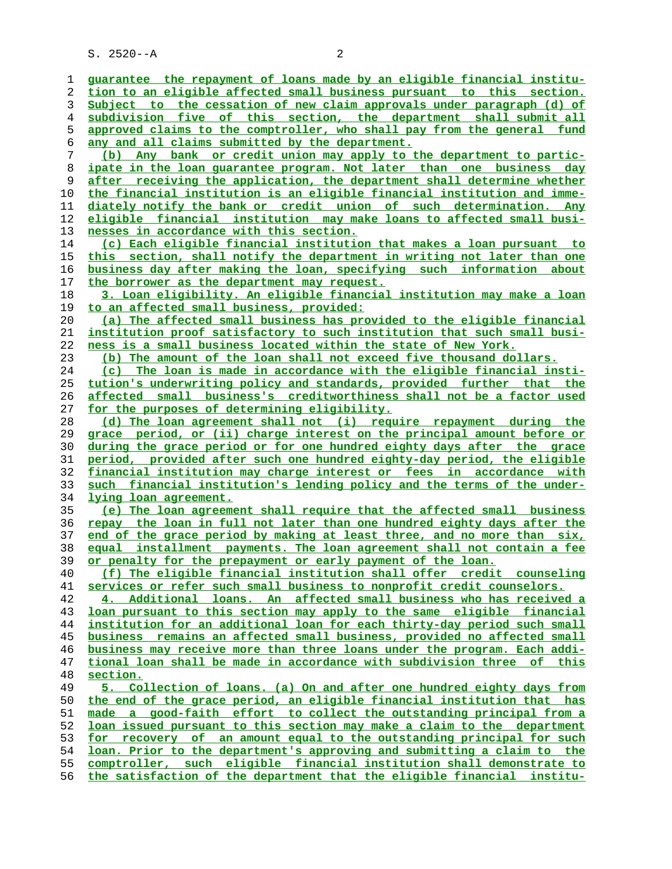S. 2520--A 2

**guarantee the repayment of loans made by an eligible financial institu- tion to an eligible affected small business pursuant to this section. Subject to the cessation of new claim approvals under paragraph (d) of subdivision five of this section, the department shall submit all approved claims to the comptroller, who shall pay from the general fund any and all claims submitted by the department. (b) Any bank or credit union may apply to the department to partic- ipate in the loan guarantee program. Not later than one business day after receiving the application, the department shall determine whether the financial institution is an eligible financial institution and imme- diately notify the bank or credit union of such determination. Any eligible financial institution may make loans to affected small busi- nesses in accordance with this section. (c) Each eligible financial institution that makes a loan pursuant to this section, shall notify the department in writing not later than one business day after making the loan, specifying such information about the borrower as the department may request. 3. Loan eligibility. An eligible financial institution may make a loan to an affected small business, provided: (a) The affected small business has provided to the eligible financial institution proof satisfactory to such institution that such small busi- ness is a small business located within the state of New York. (b) The amount of the loan shall not exceed five thousand dollars. (c) The loan is made in accordance with the eligible financial insti- tution's underwriting policy and standards, provided further that the affected small business's creditworthiness shall not be a factor used for the purposes of determining eligibility. (d) The loan agreement shall not (i) require repayment during the grace period, or (ii) charge interest on the principal amount before or during the grace period or for one hundred eighty days after the grace period, provided after such one hundred eighty-day period, the eligible financial institution may charge interest or fees in accordance with such financial institution's lending policy and the terms of the under- lying loan agreement. (e) The loan agreement shall require that the affected small business repay the loan in full not later than one hundred eighty days after the end of the grace period by making at least three, and no more than six, equal installment payments. The loan agreement shall not contain a fee or penalty for the prepayment or early payment of the loan. (f) The eligible financial institution shall offer credit counseling services or refer such small business to nonprofit credit counselors. 4. Additional loans. An affected small business who has received a loan pursuant to this section may apply to the same eligible financial institution for an additional loan for each thirty-day period such small business remains an affected small business, provided no affected small business may receive more than three loans under the program. Each addi- tional loan shall be made in accordance with subdivision three of this section. 5. Collection of loans. (a) On and after one hundred eighty days from the end of the grace period, an eligible financial institution that has made a good-faith effort to collect the outstanding principal from a loan issued pursuant to this section may make a claim to the department for recovery of an amount equal to the outstanding principal for such loan. Prior to the department's approving and submitting a claim to the comptroller, such eligible financial institution shall demonstrate to the satisfaction of the department that the eligible financial institu-**